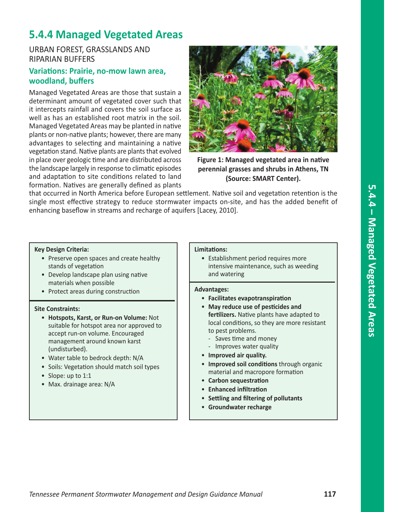# **5.4.4 Managed Vegetated Areas**

URBAN FOREST, GRASSLANDS AND RIPARIAN BUFFERS

# **Variations: Prairie, no-mow lawn area, woodland, buffers**

Managed Vegetated Areas are those that sustain a determinant amount of vegetated cover such that it intercepts rainfall and covers the soil surface as well as has an established root matrix in the soil. Managed Vegetated Areas may be planted in native plants or non-native plants; however, there are many advantages to selecting and maintaining a native vegetation stand. Native plants are plants that evolved in place over geologic time and are distributed across the landscape largely in response to climatic episodes and adaptation to site conditions related to land formation. Natives are generally defined as plants



**Figure 1: Managed vegetated area in native perennial grasses and shrubs in Athens, TN (Source: SMART Center).** 

that occurred in North America before European settlement. Native soil and vegetation retention is the single most effective strategy to reduce stormwater impacts on-site, and has the added benefit of enhancing baseflow in streams and recharge of aquifers [Lacey, 2010].

#### **Key Design Criteria:**

- Preserve open spaces and create healthy stands of vegetation
- Develop landscape plan using native materials when possible
- Protect areas during construction

#### **Site Constraints:**

- **Hotspots, Karst, or Run-on Volume:** Not suitable for hotspot area nor approved to accept run-on volume. Encouraged management around known karst (undisturbed).
- Water table to bedrock depth: N/A
- Soils: Vegetation should match soil types
- Slope: up to 1:1
- Max. drainage area: N/A

### **Limitations:**

• Establishment period requires more intensive maintenance, such as weeding and watering

#### **Advantages:**

- **Facilitates evapotranspiration**
- **May reduce use of pesticides and fertilizers.** Native plants have adapted to local conditions, so they are more resistant to pest problems.
	- Saves time and money
	- Improves water quality
- **Improved air quality.**
- **Improved soil conditions** through organic material and macropore formation
- **Carbon sequestration**
- **Enhanced infiltration**
- **Settling and filtering of pollutants**
- **Groundwater recharge**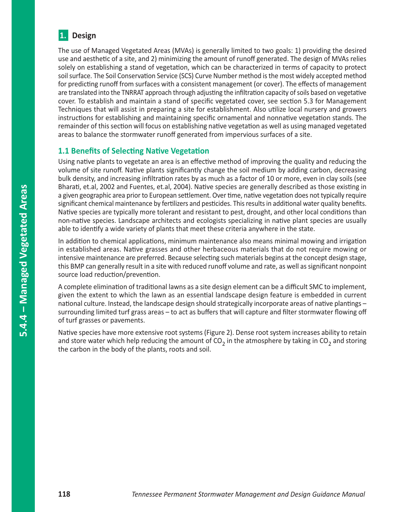

The use of Managed Vegetated Areas (MVAs) is generally limited to two goals: 1) providing the desired use and aesthetic of a site, and 2) minimizing the amount of runoff generated. The design of MVAs relies solely on establishing a stand of vegetation, which can be characterized in terms of capacity to protect soil surface. The Soil Conservation Service (SCS) Curve Number method is the most widely accepted method for predicting runoff from surfaces with a consistent management (or cover). The effects of management are translated into the TNRRAT approach through adjusting the infiltration capacity of soils based on vegetative cover. To establish and maintain a stand of specific vegetated cover, see section 5.3 for Management Techniques that will assist in preparing a site for establishment. Also utilize local nursery and growers instructions for establishing and maintaining specific ornamental and nonnative vegetation stands. The remainder of this section will focus on establishing native vegetation as well as using managed vegetated areas to balance the stormwater runoff generated from impervious surfaces of a site.

### **1.1 Benefits of Selecting Native Vegetation**

Using native plants to vegetate an area is an effective method of improving the quality and reducing the volume of site runoff. Native plants significantly change the soil medium by adding carbon, decreasing bulk density, and increasing infiltration rates by as much as a factor of 10 or more, even in clay soils (see Bharati, et.al, 2002 and Fuentes, et.al, 2004). Native species are generally described as those existing in a given geographic area prior to European settlement. Over time, native vegetation does not typically require significant chemical maintenance by fertilizers and pesticides. This results in additional water quality benefits. Native species are typically more tolerant and resistant to pest, drought, and other local conditions than non-native species. Landscape architects and ecologists specializing in native plant species are usually able to identify a wide variety of plants that meet these criteria anywhere in the state.

In addition to chemical applications, minimum maintenance also means minimal mowing and irrigation in established areas. Native grasses and other herbaceous materials that do not require mowing or intensive maintenance are preferred. Because selecting such materials begins at the concept design stage, this BMP can generally result in a site with reduced runoff volume and rate, as well as significant nonpoint source load reduction/prevention.

A complete elimination of traditional lawns as a site design element can be a difficult SMC to implement, given the extent to which the lawn as an essential landscape design feature is embedded in current national culture. Instead, the landscape design should strategically incorporate areas of native plantings – surrounding limited turf grass areas – to act as buffers that will capture and filter stormwater flowing off of turf grasses or pavements.

Native species have more extensive root systems (Figure 2). Dense root system increases ability to retain and store water which help reducing the amount of CO<sub>2</sub> in the atmosphere by taking in CO<sub>2</sub> and storing the carbon in the body of the plants, roots and soil.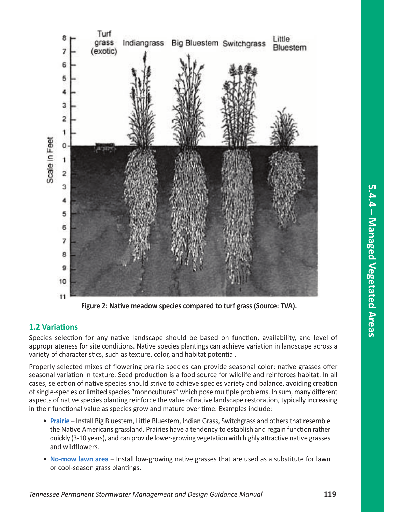

**Figure 2: Native meadow species compared to turf grass (Source: TVA).**

# **1.2 Variations**

Species selection for any native landscape should be based on function, availability, and level of appropriateness for site conditions. Native species plantings can achieve variation in landscape across a variety of characteristics, such as texture, color, and habitat potential.

Properly selected mixes of flowering prairie species can provide seasonal color; native grasses offer seasonal variation in texture. Seed production is a food source for wildlife and reinforces habitat. In all cases, selection of native species should strive to achieve species variety and balance, avoiding creation of single-species or limited species "monocultures" which pose multiple problems. In sum, many different aspects of native species planting reinforce the value of native landscape restoration, typically increasing in their functional value as species grow and mature over time. Examples include:

- **Prairie** Install Big Bluestem, Little Bluestem, Indian Grass, Switchgrass and others that resemble the Native Americans grassland. Prairies have a tendency to establish and regain function rather quickly (3-10 years), and can provide lower-growing vegetation with highly attractive native grasses and wildflowers.
- **No-mow lawn area** Install low-growing native grasses that are used as a substitute for lawn or cool-season grass plantings.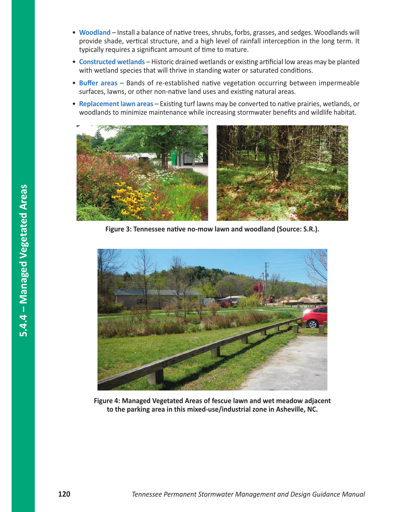- **Woodland** Install a balance of native trees, shrubs, forbs, grasses, and sedges. Woodlands will provide shade, vertical structure, and a high level of rainfall interception in the long term. It typically requires a significant amount of time to mature.
- **Constructed wetlands** Historic drained wetlands or existing artificial low areas may be planted with wetland species that will thrive in standing water or saturated conditions.
- **Buffer areas** Bands of re-established native vegetation occurring between impermeable surfaces, lawns, or other non-native land uses and existing natural areas.
- **Replacement lawn areas** Existing turf lawns may be converted to native prairies, wetlands, or woodlands to minimize maintenance while increasing stormwater benefits and wildlife habitat.



**Figure 3: Tennessee native no-mow lawn and woodland (Source: S.R.).**



**Figure 4: Managed Vegetated Areas of fescue lawn and wet meadow adjacent to the parking area in this mixed-use/industrial zone in Asheville, NC.**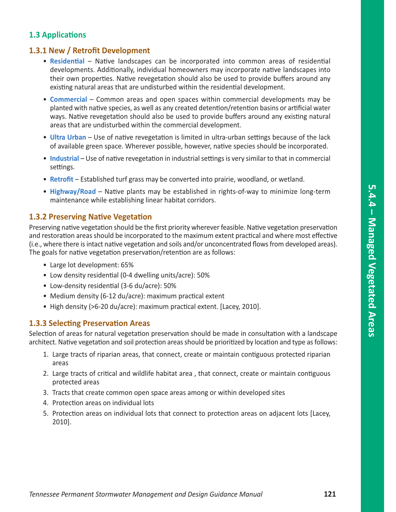### **1.3 Applications**

### **1.3.1 New / Retrofit Development**

- **Residential** Native landscapes can be incorporated into common areas of residential developments. Additionally, individual homeowners may incorporate native landscapes into their own properties. Native revegetation should also be used to provide buffers around any existing natural areas that are undisturbed within the residential development.
- **Commercial** Common areas and open spaces within commercial developments may be planted with native species, as well as any created detention/retention basins or artificial water ways. Native revegetation should also be used to provide buffers around any existing natural areas that are undisturbed within the commercial development.
- **Ultra Urban** Use of native revegetation is limited in ultra-urban settings because of the lack of available green space. Wherever possible, however, native species should be incorporated.
- **Industrial** Use of native revegetation in industrial settings is very similar to that in commercial settings.
- **Retrofit** Established turf grass may be converted into prairie, woodland, or wetland.
- **Highway/Road** Native plants may be established in rights-of-way to minimize long-term maintenance while establishing linear habitat corridors.

### **1.3.2 Preserving Native Vegetation**

Preserving native vegetation should be the first priority wherever feasible. Native vegetation preservation and restoration areas should be incorporated to the maximum extent practical and where most effective (i.e., where there is intact native vegetation and soils and/or unconcentrated flows from developed areas). The goals for native vegetation preservation/retention are as follows:

- Large lot development: 65%
- Low density residential (0-4 dwelling units/acre): 50%
- Low-density residential (3-6 du/acre): 50%
- Medium density (6-12 du/acre): maximum practical extent
- High density (>6-20 du/acre): maximum practical extent. [Lacey, 2010].

### **1.3.3 Selecting Preservation Areas**

Selection of areas for natural vegetation preservation should be made in consultation with a landscape architect. Native vegetation and soil protection areas should be prioritized by location and type as follows:

- 1. Large tracts of riparian areas, that connect, create or maintain contiguous protected riparian areas
- 2. Large tracts of critical and wildlife habitat area , that connect, create or maintain contiguous protected areas
- 3. Tracts that create common open space areas among or within developed sites
- 4. Protection areas on individual lots
- 5. Protection areas on individual lots that connect to protection areas on adjacent lots [Lacey, 2010].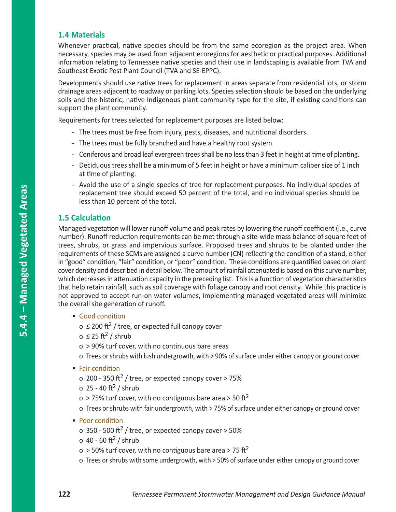# **1.4 Materials**

Whenever practical, native species should be from the same ecoregion as the project area. When necessary, species may be used from adjacent ecoregions for aesthetic or practical purposes. Additional information relating to Tennessee native species and their use in landscaping is available from TVA and Southeast Exotic Pest Plant Council (TVA and SE-EPPC).

Developments should use native trees for replacement in areas separate from residential lots, or storm drainage areas adjacent to roadway or parking lots. Species selection should be based on the underlying soils and the historic, native indigenous plant community type for the site, if existing conditions can support the plant community.

Requirements for trees selected for replacement purposes are listed below:

- The trees must be free from injury, pests, diseases, and nutritional disorders.
- The trees must be fully branched and have a healthy root system
- Coniferous and broad leaf evergreen trees shall be no less than 3 feet in height at time of planting.
- Deciduous trees shall be a minimum of 5 feet in height or have a minimum caliper size of 1 inch at time of planting.
- Avoid the use of a single species of tree for replacement purposes. No individual species of replacement tree should exceed 50 percent of the total, and no individual species should be less than 10 percent of the total.

# **1.5 Calculation**

Managed vegetation will lower runoff volume and peak rates by lowering the runoff coefficient (i.e., curve number). Runoff reduction requirements can be met through a site-wide mass balance of square feet of trees, shrubs, or grass and impervious surface. Proposed trees and shrubs to be planted under the requirements of these SCMs are assigned a curve number (CN) reflecting the condition of a stand, either in "good" condition, "fair" condition, or "poor" condition. These conditions are quantified based on plant cover density and described in detail below. The amount of rainfall attenuated is based on this curve number, which decreases in attenuation capacity in the preceding list. This is a function of vegetation characteristics that help retain rainfall, such as soil coverage with foliage canopy and root density. While this practice is not approved to accept run-on water volumes, implementing managed vegetated areas will minimize the overall site generation of runoff.

- Good condition
	- o ≤ 200 ft<sup>2</sup> / tree, or expected full canopy cover
	- o ≤ 25 ft<sup>2</sup> / shrub
	- o > 90% turf cover, with no continuous bare areas
	- o Trees or shrubs with lush undergrowth, with > 90% of surface under either canopy or ground cover
- Fair condition
	- o 200 350 ft<sup>2</sup> / tree, or expected canopy cover  $> 75\%$
	- o  $25 40$  ft<sup>2</sup> / shrub
	- o > 75% turf cover, with no contiguous bare area > 50 ft<sup>2</sup>
	- o Trees or shrubs with fair undergrowth, with > 75% of surface under either canopy or ground cover
- Poor condition
	- o 350 500 ft<sup>2</sup> / tree, or expected canopy cover  $>$  50%
	- o  $40 60$  ft<sup>2</sup> / shrub
	- o > 50% turf cover, with no contiguous bare area > 75 ft<sup>2</sup>
	- o Trees or shrubs with some undergrowth, with > 50% of surface under either canopy or ground cover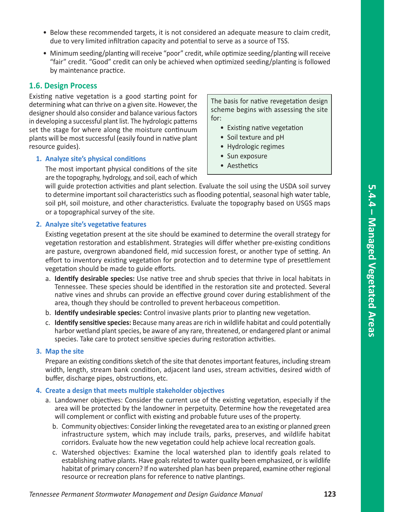- Below these recommended targets, it is not considered an adequate measure to claim credit, due to very limited infiltration capacity and potential to serve as a source of TSS.
- Minimum seeding/planting will receive "poor" credit, while optimize seeding/planting will receive "fair" credit. "Good" credit can only be achieved when optimized seeding/planting is followed by maintenance practice.

### **1.6. Design Process**

Existing native vegetation is a good starting point for determining what can thrive on a given site. However, the designer should also consider and balance various factors in developing a successful plant list. The hydrologic patterns set the stage for where along the moisture continuum plants will be most successful (easily found in native plant resource guides).

#### **1. Analyze site's physical conditions**

The most important physical conditions of the site are the topography, hydrology, and soil, each of which

The basis for native revegetation design scheme begins with assessing the site for:

- Existing native vegetation
- Soil texture and pH
- Hydrologic regimes
- Sun exposure
- Aesthetics

will guide protection activities and plant selection. Evaluate the soil using the USDA soil survey to determine important soil characteristics such as flooding potential, seasonal high water table, soil pH, soil moisture, and other characteristics. Evaluate the topography based on USGS maps or a topographical survey of the site.

#### **2. Analyze site's vegetative features**

Existing vegetation present at the site should be examined to determine the overall strategy for vegetation restoration and establishment. Strategies will differ whether pre-existing conditions are pasture, overgrown abandoned field, mid succession forest, or another type of setting. An effort to inventory existing vegetation for protection and to determine type of presettlement vegetation should be made to guide efforts.

- a. **Identify desirable species:** Use native tree and shrub species that thrive in local habitats in Tennessee. These species should be identified in the restoration site and protected. Several native vines and shrubs can provide an effective ground cover during establishment of the area, though they should be controlled to prevent herbaceous competition.
- b. **Identify undesirable species:** Control invasive plants prior to planting new vegetation.
- c. **Identify sensitive species:** Because many areas are rich in wildlife habitat and could potentially harbor wetland plant species, be aware of any rare, threatened, or endangered plant or animal species. Take care to protect sensitive species during restoration activities.

#### **3. Map the site**

Prepare an existing conditions sketch of the site that denotes important features, including stream width, length, stream bank condition, adjacent land uses, stream activities, desired width of buffer, discharge pipes, obstructions, etc.

#### **4. Create a design that meets multiple stakeholder objectives**

- a. Landowner objectives: Consider the current use of the existing vegetation, especially if the area will be protected by the landowner in perpetuity. Determine how the revegetated area will complement or conflict with existing and probable future uses of the property.
	- b. Community objectives: Consider linking the revegetated area to an existing or planned green infrastructure system, which may include trails, parks, preserves, and wildlife habitat corridors. Evaluate how the new vegetation could help achieve local recreation goals.
	- c. Watershed objectives: Examine the local watershed plan to identify goals related to establishing native plants. Have goals related to water quality been emphasized, or is wildlife habitat of primary concern? If no watershed plan has been prepared, examine other regional resource or recreation plans for reference to native plantings.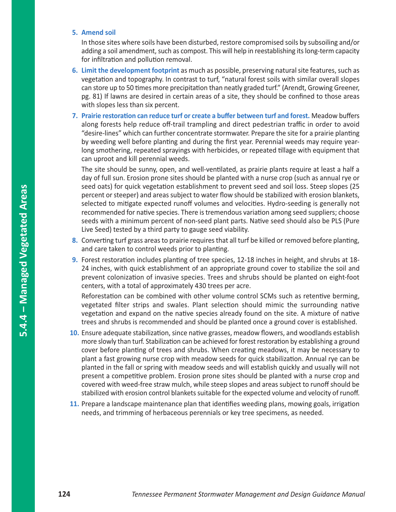#### **5. Amend soil**

In those sites where soils have been disturbed, restore compromised soils by subsoiling and/or adding a soil amendment, such as compost. This will help in reestablishing its long-term capacity for infiltration and pollution removal.

- **6. Limit the development footprint** as much as possible, preserving natural site features, such as vegetation and topography. In contrast to turf, "natural forest soils with similar overall slopes can store up to 50 times more precipitation than neatly graded turf." (Arendt, Growing Greener, pg. 81) If lawns are desired in certain areas of a site, they should be confined to those areas with slopes less than six percent.
- **7. Prairie restoration can reduce turf or create a buffer between turf and forest.** Meadow buffers along forests help reduce off-trail trampling and direct pedestrian traffic in order to avoid "desire-lines" which can further concentrate stormwater. Prepare the site for a prairie planting by weeding well before planting and during the first year. Perennial weeds may require yearlong smothering, repeated sprayings with herbicides, or repeated tillage with equipment that can uproot and kill perennial weeds.

The site should be sunny, open, and well-ventilated, as prairie plants require at least a half a day of full sun. Erosion prone sites should be planted with a nurse crop (such as annual rye or seed oats) for quick vegetation establishment to prevent seed and soil loss. Steep slopes (25 percent or steeper) and areas subject to water flow should be stabilized with erosion blankets, selected to mitigate expected runoff volumes and velocities. Hydro-seeding is generally not recommended for native species. There is tremendous variation among seed suppliers; choose seeds with a minimum percent of non-seed plant parts. Native seed should also be PLS (Pure Live Seed) tested by a third party to gauge seed viability.

- **8.** Converting turf grass areas to prairie requires that all turf be killed or removed before planting, and care taken to control weeds prior to planting.
- **9.** Forest restoration includes planting of tree species, 12-18 inches in height, and shrubs at 18- 24 inches, with quick establishment of an appropriate ground cover to stabilize the soil and prevent colonization of invasive species. Trees and shrubs should be planted on eight-foot centers, with a total of approximately 430 trees per acre.

Reforestation can be combined with other volume control SCMs such as retentive berming, vegetated filter strips and swales. Plant selection should mimic the surrounding native vegetation and expand on the native species already found on the site. A mixture of native trees and shrubs is recommended and should be planted once a ground cover is established.

- **10.** Ensure adequate stabilization, since native grasses, meadow flowers, and woodlands establish more slowly than turf. Stabilization can be achieved for forest restoration by establishing a ground cover before planting of trees and shrubs. When creating meadows, it may be necessary to plant a fast growing nurse crop with meadow seeds for quick stabilization. Annual rye can be planted in the fall or spring with meadow seeds and will establish quickly and usually will not present a competitive problem. Erosion prone sites should be planted with a nurse crop and covered with weed-free straw mulch, while steep slopes and areas subject to runoff should be stabilized with erosion control blankets suitable for the expected volume and velocity of runoff.
- **11.** Prepare a landscape maintenance plan that identifies weeding plans, mowing goals, irrigation needs, and trimming of herbaceous perennials or key tree specimens, as needed.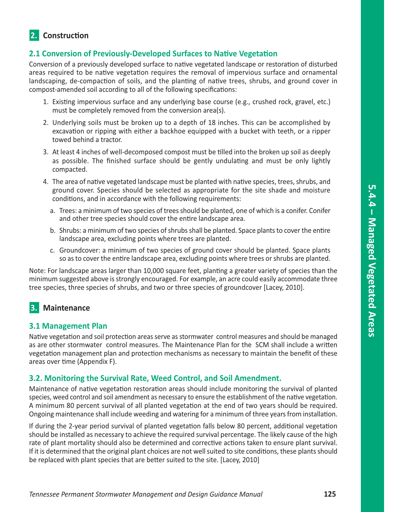# **2.** Construction

### **2.1 Conversion of Previously-Developed Surfaces to Native Vegetation**

Conversion of a previously developed surface to native vegetated landscape or restoration of disturbed areas required to be native vegetation requires the removal of impervious surface and ornamental landscaping, de-compaction of soils, and the planting of native trees, shrubs, and ground cover in compost-amended soil according to all of the following specifications:

- 1. Existing impervious surface and any underlying base course (e.g., crushed rock, gravel, etc.) must be completely removed from the conversion area(s).
- 2. Underlying soils must be broken up to a depth of 18 inches. This can be accomplished by excavation or ripping with either a backhoe equipped with a bucket with teeth, or a ripper towed behind a tractor.
- 3. At least 4 inches of well-decomposed compost must be tilled into the broken up soil as deeply as possible. The finished surface should be gently undulating and must be only lightly compacted.
- 4. The area of native vegetated landscape must be planted with native species, trees, shrubs, and ground cover. Species should be selected as appropriate for the site shade and moisture conditions, and in accordance with the following requirements:
	- a. Trees: a minimum of two species of trees should be planted, one of which is a conifer. Conifer and other tree species should cover the entire landscape area.
	- b. Shrubs: a minimum of two species of shrubs shall be planted. Space plants to cover the entire landscape area, excluding points where trees are planted.
	- c. Groundcover: a minimum of two species of ground cover should be planted. Space plants so as to cover the entire landscape area, excluding points where trees or shrubs are planted.

Note: For landscape areas larger than 10,000 square feet, planting a greater variety of species than the minimum suggested above is strongly encouraged. For example, an acre could easily accommodate three tree species, three species of shrubs, and two or three species of groundcover [Lacey, 2010].

# **3. Maintenance**

### **3.1 Management Plan**

Native vegetation and soil protection areas serve as stormwater control measures and should be managed as are other stormwater control measures. The Maintenance Plan for the SCM shall include a written vegetation management plan and protection mechanisms as necessary to maintain the benefit of these areas over time (Appendix F).

# **3.2. Monitoring the Survival Rate, Weed Control, and Soil Amendment.**

Maintenance of native vegetation restoration areas should include monitoring the survival of planted species, weed control and soil amendment as necessary to ensure the establishment of the native vegetation. A minimum 80 percent survival of all planted vegetation at the end of two years should be required. Ongoing maintenance shall include weeding and watering for a minimum of three years from installation.

If during the 2-year period survival of planted vegetation falls below 80 percent, additional vegetation should be installed as necessary to achieve the required survival percentage. The likely cause of the high rate of plant mortality should also be determined and corrective actions taken to ensure plant survival. If it is determined that the original plant choices are not well suited to site conditions, these plants should be replaced with plant species that are better suited to the site. [Lacey, 2010]